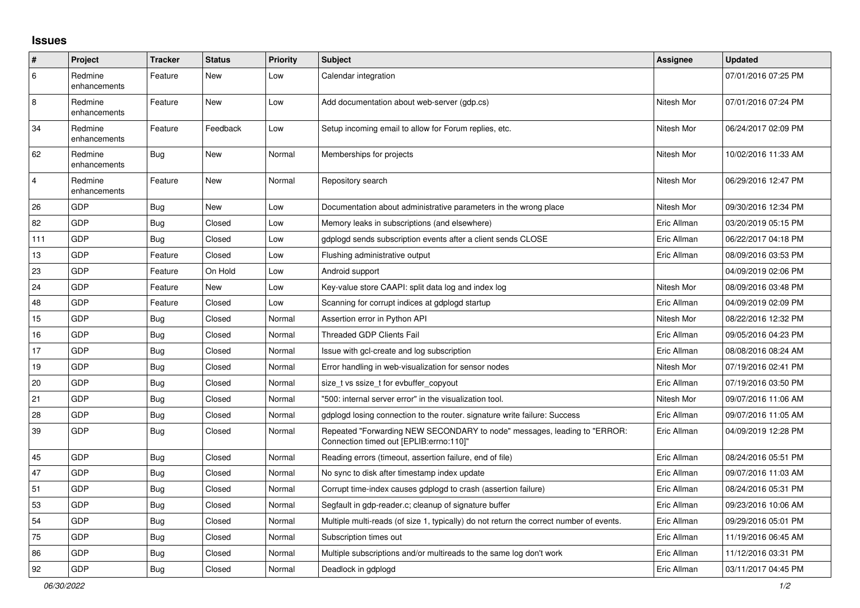## **Issues**

| ∦              | Project                 | <b>Tracker</b> | <b>Status</b> | <b>Priority</b> | <b>Subject</b>                                                                                                      | <b>Assignee</b> | <b>Updated</b>      |
|----------------|-------------------------|----------------|---------------|-----------------|---------------------------------------------------------------------------------------------------------------------|-----------------|---------------------|
| 6              | Redmine<br>enhancements | Feature        | New           | Low             | Calendar integration                                                                                                |                 | 07/01/2016 07:25 PM |
| 8              | Redmine<br>enhancements | Feature        | <b>New</b>    | Low             | Add documentation about web-server (gdp.cs)                                                                         | Nitesh Mor      | 07/01/2016 07:24 PM |
| 34             | Redmine<br>enhancements | Feature        | Feedback      | Low             | Setup incoming email to allow for Forum replies, etc.                                                               | Nitesh Mor      | 06/24/2017 02:09 PM |
| 62             | Redmine<br>enhancements | <b>Bug</b>     | New           | Normal          | Memberships for projects                                                                                            | Nitesh Mor      | 10/02/2016 11:33 AM |
| $\overline{4}$ | Redmine<br>enhancements | Feature        | <b>New</b>    | Normal          | Repository search                                                                                                   | Nitesh Mor      | 06/29/2016 12:47 PM |
| 26             | GDP                     | Bug            | New           | Low             | Documentation about administrative parameters in the wrong place                                                    | Nitesh Mor      | 09/30/2016 12:34 PM |
| 82             | GDP                     | <b>Bug</b>     | Closed        | Low             | Memory leaks in subscriptions (and elsewhere)                                                                       | Eric Allman     | 03/20/2019 05:15 PM |
| 111            | GDP                     | <b>Bug</b>     | Closed        | Low             | gdplogd sends subscription events after a client sends CLOSE                                                        | Eric Allman     | 06/22/2017 04:18 PM |
| 13             | GDP                     | Feature        | Closed        | Low             | Flushing administrative output                                                                                      | Eric Allman     | 08/09/2016 03:53 PM |
| 23             | GDP                     | Feature        | On Hold       | Low             | Android support                                                                                                     |                 | 04/09/2019 02:06 PM |
| 24             | GDP                     | Feature        | New           | Low             | Key-value store CAAPI: split data log and index log                                                                 | Nitesh Mor      | 08/09/2016 03:48 PM |
| 48             | GDP                     | Feature        | Closed        | Low             | Scanning for corrupt indices at gdplogd startup                                                                     | Eric Allman     | 04/09/2019 02:09 PM |
| 15             | GDP                     | Bug            | Closed        | Normal          | Assertion error in Python API                                                                                       | Nitesh Mor      | 08/22/2016 12:32 PM |
| 16             | GDP                     | <b>Bug</b>     | Closed        | Normal          | <b>Threaded GDP Clients Fail</b>                                                                                    | Eric Allman     | 09/05/2016 04:23 PM |
| 17             | GDP                     | <b>Bug</b>     | Closed        | Normal          | Issue with gcl-create and log subscription                                                                          | Eric Allman     | 08/08/2016 08:24 AM |
| 19             | GDP                     | Bug            | Closed        | Normal          | Error handling in web-visualization for sensor nodes                                                                | Nitesh Mor      | 07/19/2016 02:41 PM |
| 20             | GDP                     | <b>Bug</b>     | Closed        | Normal          | size_t vs ssize_t for evbuffer_copyout                                                                              | Eric Allman     | 07/19/2016 03:50 PM |
| 21             | GDP                     | <b>Bug</b>     | Closed        | Normal          | "500: internal server error" in the visualization tool.                                                             | Nitesh Mor      | 09/07/2016 11:06 AM |
| 28             | <b>GDP</b>              | <b>Bug</b>     | Closed        | Normal          | gdplogd losing connection to the router. signature write failure: Success                                           | Eric Allman     | 09/07/2016 11:05 AM |
| 39             | GDP                     | Bug            | Closed        | Normal          | Repeated "Forwarding NEW SECONDARY to node" messages, leading to "ERROR:<br>Connection timed out [EPLIB:errno:110]" | Eric Allman     | 04/09/2019 12:28 PM |
| 45             | GDP                     | Bug            | Closed        | Normal          | Reading errors (timeout, assertion failure, end of file)                                                            | Eric Allman     | 08/24/2016 05:51 PM |
| 47             | GDP                     | Bug            | Closed        | Normal          | No sync to disk after timestamp index update                                                                        | Eric Allman     | 09/07/2016 11:03 AM |
| 51             | GDP                     | <b>Bug</b>     | Closed        | Normal          | Corrupt time-index causes gdplogd to crash (assertion failure)                                                      | Eric Allman     | 08/24/2016 05:31 PM |
| 53             | GDP                     | <b>Bug</b>     | Closed        | Normal          | Segfault in gdp-reader.c; cleanup of signature buffer                                                               | Eric Allman     | 09/23/2016 10:06 AM |
| 54             | GDP                     | Bug            | Closed        | Normal          | Multiple multi-reads (of size 1, typically) do not return the correct number of events.                             | Eric Allman     | 09/29/2016 05:01 PM |
| 75             | GDP                     | Bug            | Closed        | Normal          | Subscription times out                                                                                              | Eric Allman     | 11/19/2016 06:45 AM |
| 86             | GDP                     | <b>Bug</b>     | Closed        | Normal          | Multiple subscriptions and/or multireads to the same log don't work                                                 | Eric Allman     | 11/12/2016 03:31 PM |
| 92             | GDP                     | Bug            | Closed        | Normal          | Deadlock in gdplogd                                                                                                 | Eric Allman     | 03/11/2017 04:45 PM |